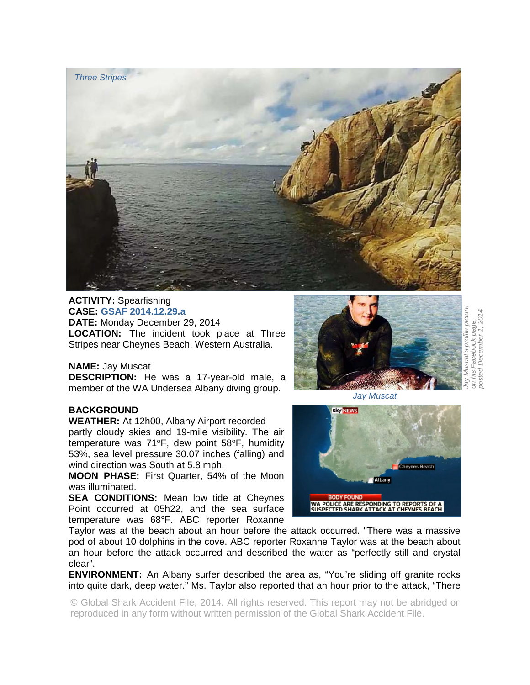

## **ACTIVITY:** Spearfishing **CASE: GSAF 2014.12.29.a DATE:** Monday December 29, 2014 **LOCATION:** The incident took place at Three

Stripes near Cheynes Beach, Western Australia.

## **NAME:** Jay Muscat

**DESCRIPTION:** He was a 17-year-old male, a member of the WA Undersea Albany diving group.

# **BACKGROUND**

**WEATHER:** At 12h00, Albany Airport recorded

partly cloudy skies and 19-mile visibility. The air temperature was 71°F, dew point 58°F, humidity 53%, sea level pressure 30.07 inches (falling) and wind direction was South at 5.8 mph.

**MOON PHASE:** First Quarter, 54% of the Moon was illuminated.

**SEA CONDITIONS:** Mean low tide at Cheynes Point occurred at 05h22, and the sea surface temperature was 68°F. ABC reporter Roxanne



*Jay Muscat's profile picture*  profile picture *posted December 1, 2014on his Facebook page,*  page, December acebook

*Jay Muscat* 



Taylor was at the beach about an hour before the attack occurred. "There was a massive pod of about 10 dolphins in the cove. ABC reporter Roxanne Taylor was at the beach about an hour before the attack occurred and described the water as "perfectly still and crystal clear".

**ENVIRONMENT:** An Albany surfer described the area as, "You're sliding off granite rocks into quite dark, deep water." Ms. Taylor also reported that an hour prior to the attack, "There

© Global Shark Accident File, 2014. All rights reserved. This report may not be abridged or reproduced in any form without written permission of the Global Shark Accident File.